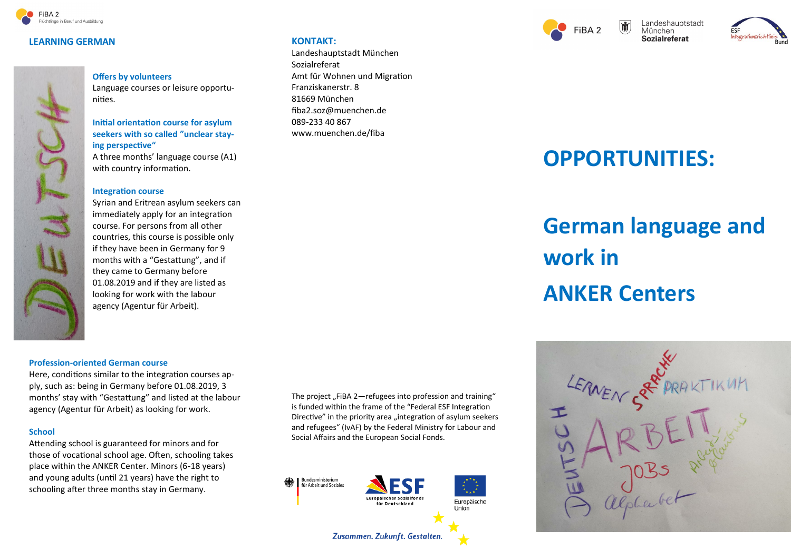

#### **LEARNING GERMAN**



#### **Offers by volunteers**

Language courses or leisure opportunities.

#### **Initial orientation course for asylum seekers with so called "unclear staying perspective"**

A three months' language course (A1) with country information.

#### **Integration course**

Syrian and Eritrean asylum seekers can immediately apply for an integration course. For persons from all other countries, this course is possible only if they have been in Germany for 9 months with a "Gestattung", and if they came to Germany before 01.08.2019 and if they are listed as looking for work with the labour agency (Agentur für Arbeit).

#### **Profession-oriented German course**

Here, conditions similar to the integration courses apply, such as: being in Germany before 01.08.2019, 3 months' stay with "Gestattung" and listed at the labour agency (Agentur für Arbeit) as looking for work.

#### **School**

Attending school is guaranteed for minors and for those of vocational school age. Often, schooling takes place within the ANKER Center. Minors (6-18 years) and young adults (until 21 years) have the right to schooling after three months stay in Germany.

The project "FiBA  $2$ —refugees into profession and training" is funded within the frame of the "Federal ESF Integration Directive" in the priority area "integration of asylum seekers and refugees" (IvAF) by the Federal Ministry for Labour and Social Affairs and the European Social Fonds.



**KONTAKT:**

Sozialreferat

Franziskanerstr. 8 81669 München

089-233 40 867

Landeshauptstadt München

fiba2.soz@muenchen.de

www.muenchen.de/fiba

Amt für Wohnen und Migration





## **OPPORTUNITIES:**

# **German language and work in ANKER Centers**